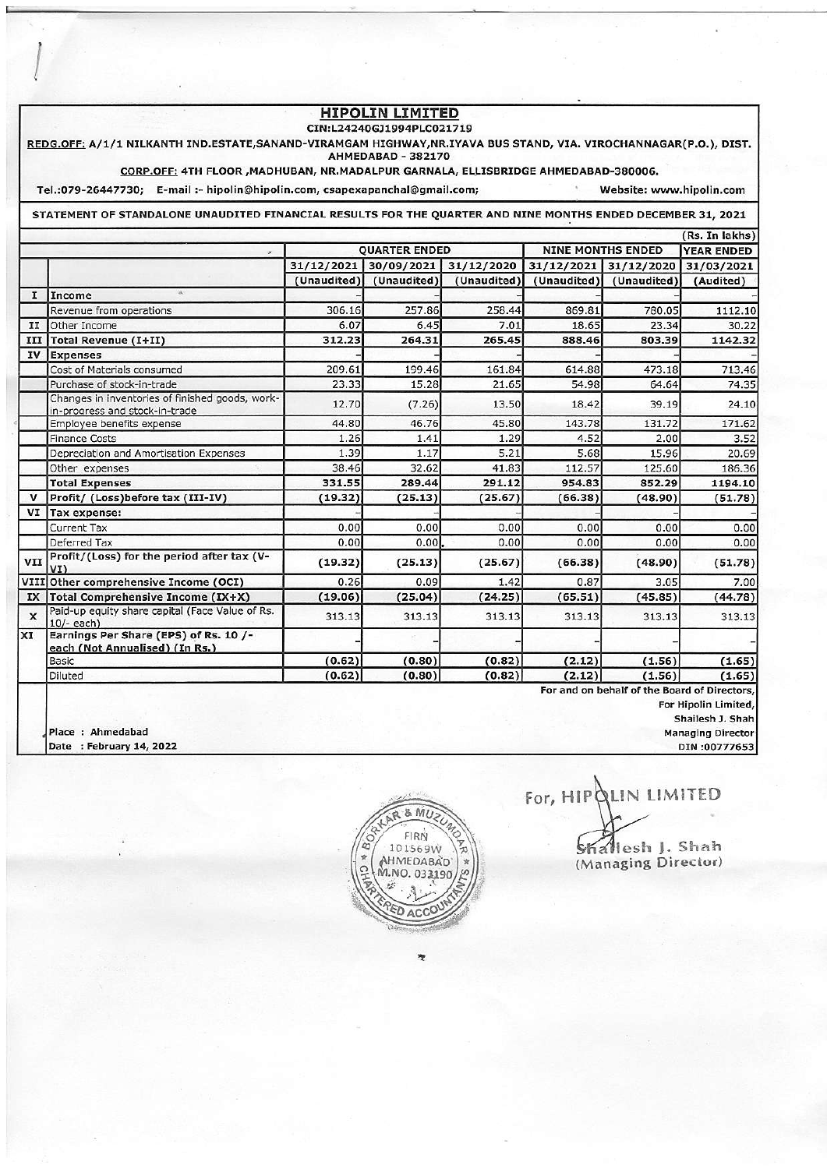## **HIPOLIN LIMITED**

## CIN:L24240GJ1994PLC021719

REDG.OFF: A/1/1 NILKANTH IND.ESTATE,SANAND-VIRAMGAM HIGHWAY,NR.IYAVA BUS STAND, VIA. VIROCHANNAGAR(P.O.), DIST. AHMEDABAD - 382170

CORP.OFF: 4TH FLOOR , MADHUBAN, NR.MADALPUR GARNALA, ELLISBRIDGE AHMEDABAD-380006.

Tel.:079-26447730; E-mail :- hipolin@hipolin.com, csapexapanchal@gmail.com; Website: www.hipolin.com

STATEMENT OF STANDALONE UNAUDITED FINANCIAL RESULTS FOR THE QUARTER AND NINE MONTHS ENDED DECEMBER 31, 2021

|                           |                                                                                   |                      |             |             |                          |                                             | (Rs. In lakhs)    |
|---------------------------|-----------------------------------------------------------------------------------|----------------------|-------------|-------------|--------------------------|---------------------------------------------|-------------------|
|                           |                                                                                   | <b>QUARTER ENDED</b> |             |             | <b>NINE MONTHS ENDED</b> |                                             | <b>YEAR ENDED</b> |
|                           |                                                                                   | 31/12/2021           | 30/09/2021  | 31/12/2020  | 31/12/2021               | 31/12/2020                                  | 31/03/2021        |
|                           |                                                                                   | (Unaudited)          | (Unaudited) | (Unaudited) | (Unaudited)              | (Unaudited)                                 | (Audited)         |
| I                         | Income                                                                            |                      |             |             |                          |                                             |                   |
|                           | Revenue from operations                                                           | 306.16               | 257.86      | 258.44      | 869.81                   | 780.05                                      | 1112.10           |
| II                        | Other Income                                                                      | 6.07                 | 6.45        | 7.01        | 18.65                    | 23.34                                       | 30.22             |
| III                       | <b>Total Revenue (I+II)</b>                                                       | 312.23               | 264.31      | 265.45      | 888.46                   | 803.39                                      | 1142.32           |
| IV                        | <b>Expenses</b>                                                                   |                      |             |             |                          |                                             |                   |
|                           | Cost of Materials consumed                                                        | 209.61               | 199.46      | 161.84      | 614.88                   | 473.18                                      | 713.46            |
|                           | Purchase of stock-in-trade                                                        | 23.33                | 15.28       | 21.65       | 54.98                    | 64.64                                       | 74.35             |
|                           | Changes in inventories of finished goods, work-<br>in-progress and stock-in-trade | 12.70                | (7.26)      | 13.50       | 18.42                    | 39.19                                       | 24.10             |
|                           | Employee benefits expense                                                         | 44.80                | 46.76       | 45.80       | 143.78                   | 131.72                                      | 171.62            |
|                           | <b>Finance Costs</b>                                                              | 1.26                 | 1.41        | 1.29        | 4.52                     | 2.00                                        | 3.52              |
|                           | Depreciation and Amortisation Expenses                                            | 1.39                 | 1.17        | 5.21        | 5.68                     | 15.96                                       | 20.69             |
|                           | Other expenses                                                                    | 38.46                | 32.62       | 41.83       | 112.57                   | 125.60                                      | 186.36            |
|                           | <b>Total Expenses</b>                                                             | 331.55               | 289.44      | 291.12      | 954.83                   | 852.29                                      | 1194.10           |
| $\mathbf v$               | Profit/ (Loss) before tax (III-IV)                                                | (19.32)              | (25.13)     | (25.67)     | (66.38)                  | (48.90)                                     | (51.78)           |
| VI                        | Tax expense:                                                                      |                      |             |             |                          |                                             |                   |
|                           | <b>Current Tax</b>                                                                | 0.00                 | 0.00        | 0.00        | 0.00                     | 0.00                                        | 0.00              |
|                           | Deferred Tax                                                                      | 0.00                 | 0.00        | 0.00        | 0.00                     | 0.00                                        | 0.00              |
| VII                       | Profit/(Loss) for the period after tax (V-<br>VI)                                 | (19.32)              | (25.13)     | (25.67)     | (66.38)                  | (48.90)                                     | (51.78)           |
| VIII                      | Other comprehensive Income (OCI)                                                  | 0.26                 | 0.09        | 1.42        | 0.87                     | 3.05                                        | 7.00              |
| IX                        | Total Comprehensive Income (IX+X)                                                 | (19.06)              | (25.04)     | (24.25)     | (65.51)                  | (45.85)                                     | (44.78)           |
| $\boldsymbol{\mathsf{x}}$ | Paid-up equity share capital (Face Value of Rs.<br>$10/-$ each)                   | 313.13               | 313.13      | 313.13      | 313.13                   | 313.13                                      | 313.13            |
| XI                        | Earnings Per Share (EPS) of Rs. 10 /-<br>each (Not Annualised) (In Rs.)           |                      |             |             |                          |                                             |                   |
|                           | Basic                                                                             | (0.62)               | (0.80)      | (0.82)      | (2.12)                   | (1.56)                                      | (1.65)            |
|                           | Diluted                                                                           | (0.62)               | (0.80)      | (0.82)      | (2.12)                   | (1.56)                                      | (1.65)            |
|                           |                                                                                   |                      |             |             |                          | For and on bohalf of the Reard of Divertors |                   |

behalf of tl

For Hipolin Limited,

Shailesh J. Shah **Managing Director** 

DIN:00777653



Place : Ahmedabad

Date : February 14, 2022

For, HIPQLIN LIMITED Shallesh J. Shah

(Managing Director)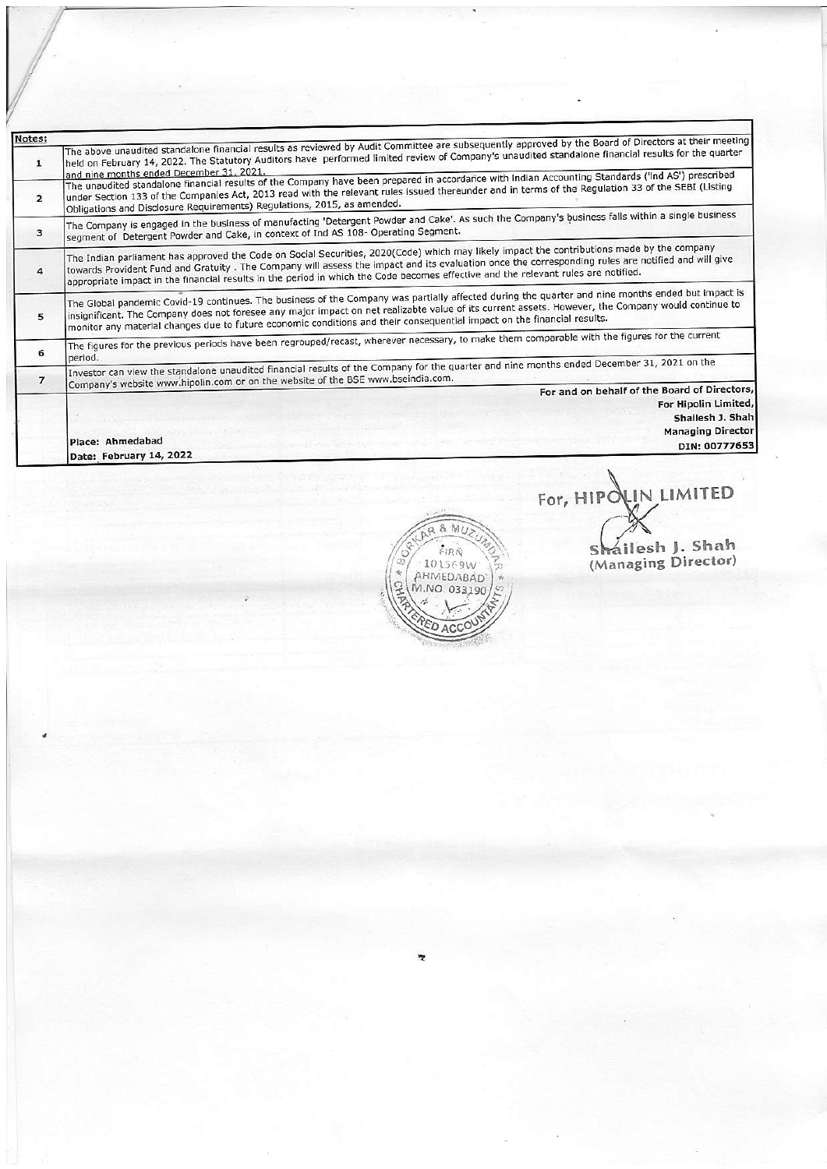| Notes:         |                                                                                                                                                                                                                                                                                                                                                                                                                                        |  |  |  |  |  |
|----------------|----------------------------------------------------------------------------------------------------------------------------------------------------------------------------------------------------------------------------------------------------------------------------------------------------------------------------------------------------------------------------------------------------------------------------------------|--|--|--|--|--|
| $\mathbf{1}$   | The above unaudited standalone financial results as reviewed by Audit Committee are subsequently approved by the Board of Directors at their meeting<br>held on February 14, 2022. The Statutory Auditors have performed limited review of Company's unaudited standalone financial results for the quarter<br>and nine months ended December 31, 2021.                                                                                |  |  |  |  |  |
| $\overline{2}$ | The unaudited standalone financial results of the Company have been prepared in accordance with Indian Accounting Standards ('Ind AS') prescribed<br>under Section 133 of the Companies Act, 2013 read with the relevant rules issued thereunder and in terms of the Regulation 33 of the SEBI (Listing<br>Obligations and Disclosure Requirements) Regulations, 2015, as amended.                                                     |  |  |  |  |  |
| 3              | The Company is engaged in the business of manufacting 'Detergent Powder and Cake'. As such the Company's business falls within a single business<br>segment of Detergent Powder and Cake, in context of Ind AS 108- Operating Segment.                                                                                                                                                                                                 |  |  |  |  |  |
| 4              | The Indian parliament has approved the Code on Social Securities, 2020(Code) which may likely impact the contributions made by the company<br>towards Provident Fund and Gratuity. The Company will assess the impact and its evaluation once the corresponding rules are notified and will give<br>appropriate impact in the financial results in the period in which the Code becomes effective and the relevant rules are notified. |  |  |  |  |  |
| 5              | The Global pandemic Covid-19 continues. The business of the Company was partially affected during the quarter and nine months ended but impact is<br>insignificant. The Company does not foresee any major impact on net realizabte value of its current assets. However, the Company would continue to<br>monitor any material changes due to future economic conditions and their consequential impact on the financial results.     |  |  |  |  |  |
| 6              | The figures for the previous periods have been regrouped/recast, wherever necessary, to make them comparable with the figures for the current<br>period.                                                                                                                                                                                                                                                                               |  |  |  |  |  |
| $\overline{ }$ | Investor can view the standalone unaudited financial results of the Company for the quarter and nine months ended December 31, 2021 on the<br>Company's website www.hipolin.com or on the website of the BSE www.bseindia.com.                                                                                                                                                                                                         |  |  |  |  |  |
|                | For and on behalf of the Board of Directors,                                                                                                                                                                                                                                                                                                                                                                                           |  |  |  |  |  |
|                | For Hipolin Limited,                                                                                                                                                                                                                                                                                                                                                                                                                   |  |  |  |  |  |
|                | Shailesh J. Shah                                                                                                                                                                                                                                                                                                                                                                                                                       |  |  |  |  |  |
|                | <b>Managing Director</b>                                                                                                                                                                                                                                                                                                                                                                                                               |  |  |  |  |  |
|                | Place: Ahmedabad<br>DIN: 00777653                                                                                                                                                                                                                                                                                                                                                                                                      |  |  |  |  |  |
|                | Date: February 14, 2022                                                                                                                                                                                                                                                                                                                                                                                                                |  |  |  |  |  |



For, HIPOLIN LIMITED Shailesh J. Shah<br>(Managing Director)